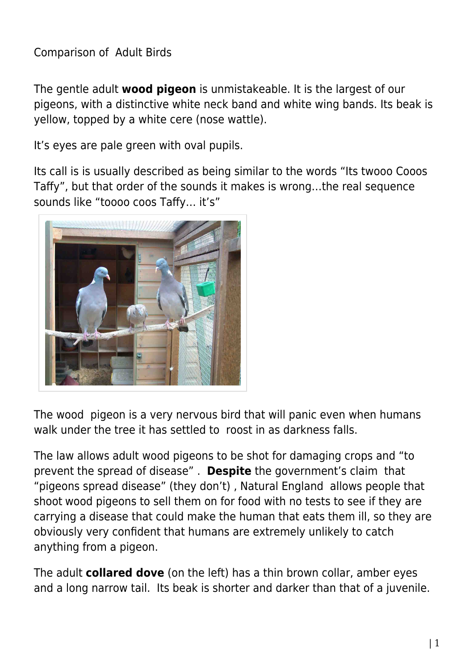## Comparison of Adult Birds

The gentle adult **wood pigeon** is unmistakeable. It is the largest of our pigeons, with a distinctive white neck band and white wing bands. Its beak is yellow, topped by a white cere (nose wattle).

It's eyes are pale green with oval pupils.

Its call is is usually described as being similar to the words "Its twooo Cooos Taffy", but that order of the sounds it makes is wrong…the real sequence sounds like "toooo coos Taffy… it's"



The wood pigeon is a very nervous bird that will panic even when humans walk under the tree it has settled to roost in as darkness falls.

The law allows adult wood pigeons to be shot for damaging crops and "to prevent the spread of disease" . **Despite** the government's claim that "pigeons spread disease" (they don't) , Natural England allows people that shoot wood pigeons to sell them on for food with no tests to see if they are carrying a disease that could make the human that eats them ill, so they are obviously very confident that humans are extremely unlikely to catch anything from a pigeon.

The adult **collared dove** (on the left) has a thin brown collar, amber eyes and a long narrow tail. Its beak is shorter and darker than that of a juvenile.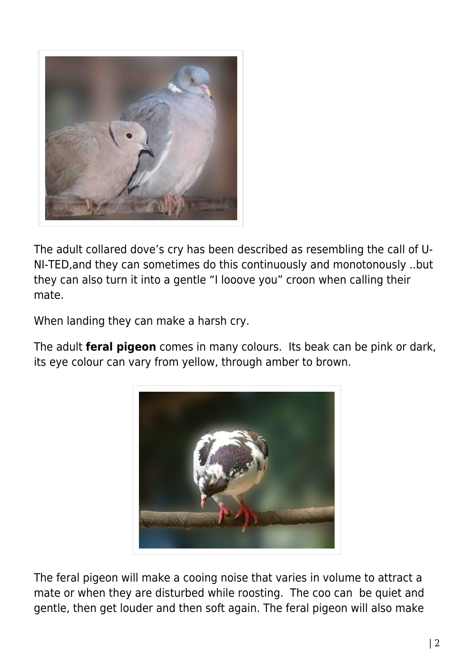

The adult collared dove's cry has been described as resembling the call of U-NI-TED,and they can sometimes do this continuously and monotonously ..but they can also turn it into a gentle "I looove you" croon when calling their mate.

When landing they can make a harsh cry.

The adult **feral pigeon** comes in many colours. Its beak can be pink or dark, its eye colour can vary from yellow, through amber to brown.



The feral pigeon will make a cooing noise that varies in volume to attract a mate or when they are disturbed while roosting. The coo can be quiet and gentle, then get louder and then soft again. The feral pigeon will also make